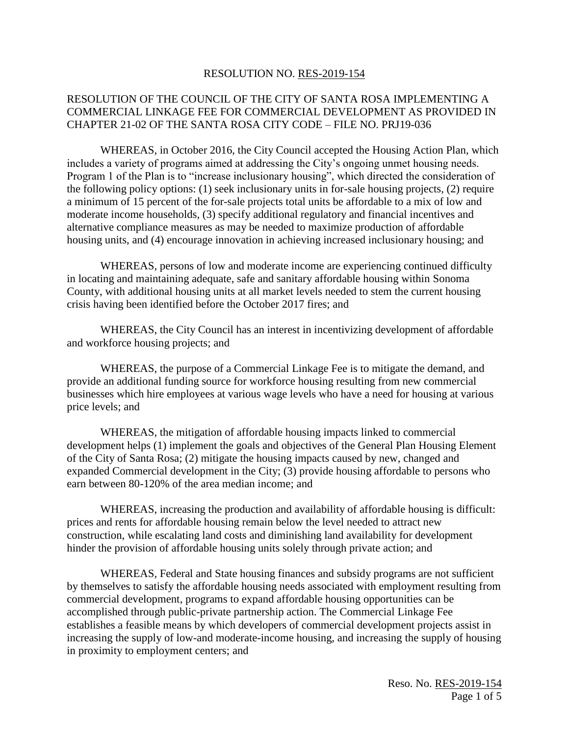#### RESOLUTION NO. RES-2019-154

### RESOLUTION OF THE COUNCIL OF THE CITY OF SANTA ROSA IMPLEMENTING A COMMERCIAL LINKAGE FEE FOR COMMERCIAL DEVELOPMENT AS PROVIDED IN CHAPTER 21-02 OF THE SANTA ROSA CITY CODE – FILE NO. PRJ19-036

WHEREAS, in October 2016, the City Council accepted the Housing Action Plan, which includes a variety of programs aimed at addressing the City's ongoing unmet housing needs. Program 1 of the Plan is to "increase inclusionary housing", which directed the consideration of the following policy options: (1) seek inclusionary units in for-sale housing projects, (2) require a minimum of 15 percent of the for-sale projects total units be affordable to a mix of low and moderate income households, (3) specify additional regulatory and financial incentives and alternative compliance measures as may be needed to maximize production of affordable housing units, and (4) encourage innovation in achieving increased inclusionary housing; and

WHEREAS, persons of low and moderate income are experiencing continued difficulty in locating and maintaining adequate, safe and sanitary affordable housing within Sonoma County, with additional housing units at all market levels needed to stem the current housing crisis having been identified before the October 2017 fires; and

WHEREAS, the City Council has an interest in incentivizing development of affordable and workforce housing projects; and

WHEREAS, the purpose of a Commercial Linkage Fee is to mitigate the demand, and provide an additional funding source for workforce housing resulting from new commercial businesses which hire employees at various wage levels who have a need for housing at various price levels; and

WHEREAS, the mitigation of affordable housing impacts linked to commercial development helps (1) implement the goals and objectives of the General Plan Housing Element of the City of Santa Rosa; (2) mitigate the housing impacts caused by new, changed and expanded Commercial development in the City; (3) provide housing affordable to persons who earn between 80-120% of the area median income; and

WHEREAS, increasing the production and availability of affordable housing is difficult: prices and rents for affordable housing remain below the level needed to attract new construction, while escalating land costs and diminishing land availability for development hinder the provision of affordable housing units solely through private action; and

WHEREAS, Federal and State housing finances and subsidy programs are not sufficient by themselves to satisfy the affordable housing needs associated with employment resulting from commercial development, programs to expand affordable housing opportunities can be accomplished through public-private partnership action. The Commercial Linkage Fee establishes a feasible means by which developers of commercial development projects assist in increasing the supply of low-and moderate-income housing, and increasing the supply of housing in proximity to employment centers; and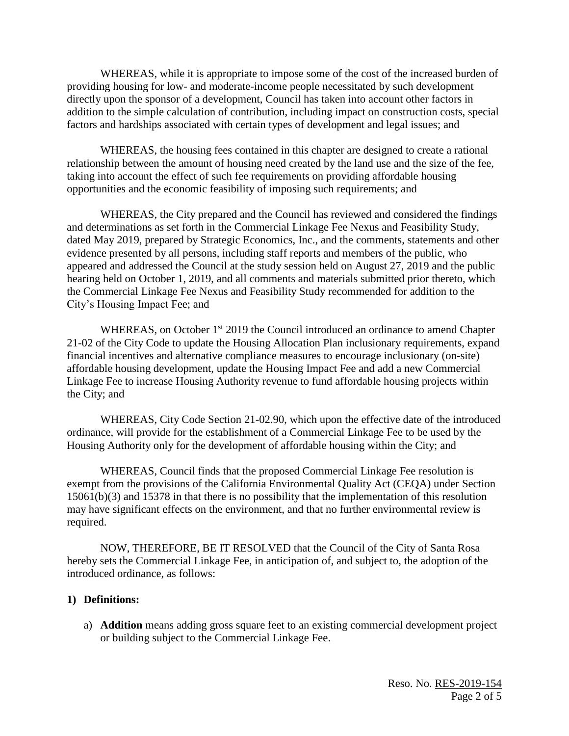WHEREAS, while it is appropriate to impose some of the cost of the increased burden of providing housing for low- and moderate-income people necessitated by such development directly upon the sponsor of a development, Council has taken into account other factors in addition to the simple calculation of contribution, including impact on construction costs, special factors and hardships associated with certain types of development and legal issues; and

WHEREAS, the housing fees contained in this chapter are designed to create a rational relationship between the amount of housing need created by the land use and the size of the fee, taking into account the effect of such fee requirements on providing affordable housing opportunities and the economic feasibility of imposing such requirements; and

WHEREAS, the City prepared and the Council has reviewed and considered the findings and determinations as set forth in the Commercial Linkage Fee Nexus and Feasibility Study, dated May 2019, prepared by Strategic Economics, Inc., and the comments, statements and other evidence presented by all persons, including staff reports and members of the public, who appeared and addressed the Council at the study session held on August 27, 2019 and the public hearing held on October 1, 2019, and all comments and materials submitted prior thereto, which the Commercial Linkage Fee Nexus and Feasibility Study recommended for addition to the City's Housing Impact Fee; and

WHEREAS, on October 1<sup>st</sup> 2019 the Council introduced an ordinance to amend Chapter 21-02 of the City Code to update the Housing Allocation Plan inclusionary requirements, expand financial incentives and alternative compliance measures to encourage inclusionary (on-site) affordable housing development, update the Housing Impact Fee and add a new Commercial Linkage Fee to increase Housing Authority revenue to fund affordable housing projects within the City; and

WHEREAS, City Code Section 21-02.90, which upon the effective date of the introduced ordinance, will provide for the establishment of a Commercial Linkage Fee to be used by the Housing Authority only for the development of affordable housing within the City; and

WHEREAS, Council finds that the proposed Commercial Linkage Fee resolution is exempt from the provisions of the California Environmental Quality Act (CEQA) under Section 15061(b)(3) and 15378 in that there is no possibility that the implementation of this resolution may have significant effects on the environment, and that no further environmental review is required.

NOW, THEREFORE, BE IT RESOLVED that the Council of the City of Santa Rosa hereby sets the Commercial Linkage Fee, in anticipation of, and subject to, the adoption of the introduced ordinance, as follows:

#### **1) Definitions:**

a) **Addition** means adding gross square feet to an existing commercial development project or building subject to the Commercial Linkage Fee.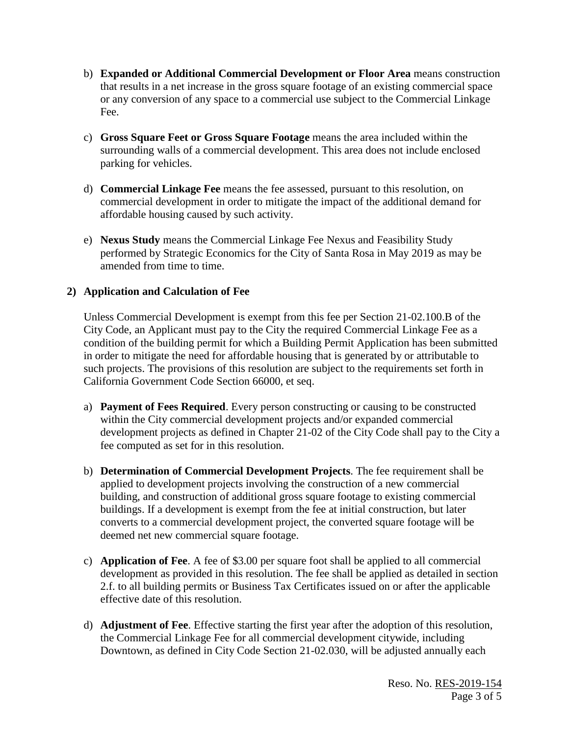- b) **Expanded or Additional Commercial Development or Floor Area** means construction that results in a net increase in the gross square footage of an existing commercial space or any conversion of any space to a commercial use subject to the Commercial Linkage Fee.
- c) **Gross Square Feet or Gross Square Footage** means the area included within the surrounding walls of a commercial development. This area does not include enclosed parking for vehicles.
- d) **Commercial Linkage Fee** means the fee assessed, pursuant to this resolution, on commercial development in order to mitigate the impact of the additional demand for affordable housing caused by such activity.
- e) **Nexus Study** means the Commercial Linkage Fee Nexus and Feasibility Study performed by Strategic Economics for the City of Santa Rosa in May 2019 as may be amended from time to time.

# **2) Application and Calculation of Fee**

Unless Commercial Development is exempt from this fee per Section 21-02.100.B of the City Code, an Applicant must pay to the City the required Commercial Linkage Fee as a condition of the building permit for which a Building Permit Application has been submitted in order to mitigate the need for affordable housing that is generated by or attributable to such projects. The provisions of this resolution are subject to the requirements set forth in California Government Code Section 66000, et seq.

- a) **Payment of Fees Required**. Every person constructing or causing to be constructed within the City commercial development projects and/or expanded commercial development projects as defined in Chapter 21-02 of the City Code shall pay to the City a fee computed as set for in this resolution.
- b) **Determination of Commercial Development Projects**. The fee requirement shall be applied to development projects involving the construction of a new commercial building, and construction of additional gross square footage to existing commercial buildings. If a development is exempt from the fee at initial construction, but later converts to a commercial development project, the converted square footage will be deemed net new commercial square footage.
- c) **Application of Fee**. A fee of \$3.00 per square foot shall be applied to all commercial development as provided in this resolution. The fee shall be applied as detailed in section 2.f. to all building permits or Business Tax Certificates issued on or after the applicable effective date of this resolution.
- d) **Adjustment of Fee**. Effective starting the first year after the adoption of this resolution, the Commercial Linkage Fee for all commercial development citywide, including Downtown, as defined in City Code Section 21-02.030, will be adjusted annually each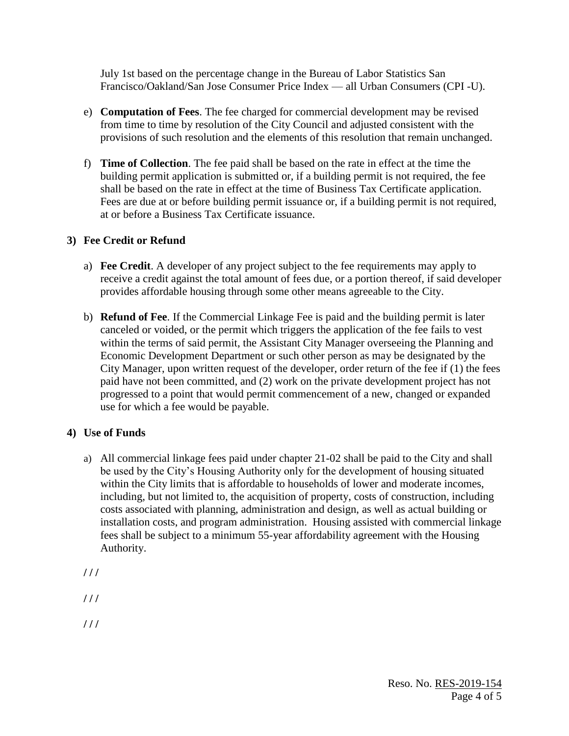July 1st based on the percentage change in the Bureau of Labor Statistics San Francisco/Oakland/San Jose Consumer Price Index — all Urban Consumers (CPI -U).

- e) **Computation of Fees**. The fee charged for commercial development may be revised from time to time by resolution of the City Council and adjusted consistent with the provisions of such resolution and the elements of this resolution that remain unchanged.
- f) **Time of Collection**. The fee paid shall be based on the rate in effect at the time the building permit application is submitted or, if a building permit is not required, the fee shall be based on the rate in effect at the time of Business Tax Certificate application. Fees are due at or before building permit issuance or, if a building permit is not required, at or before a Business Tax Certificate issuance.

# **3) Fee Credit or Refund**

- a) **Fee Credit**. A developer of any project subject to the fee requirements may apply to receive a credit against the total amount of fees due, or a portion thereof, if said developer provides affordable housing through some other means agreeable to the City.
- b) **Refund of Fee**. If the Commercial Linkage Fee is paid and the building permit is later canceled or voided, or the permit which triggers the application of the fee fails to vest within the terms of said permit, the Assistant City Manager overseeing the Planning and Economic Development Department or such other person as may be designated by the City Manager, upon written request of the developer, order return of the fee if (1) the fees paid have not been committed, and (2) work on the private development project has not progressed to a point that would permit commencement of a new, changed or expanded use for which a fee would be payable.

### **4) Use of Funds**

a) All commercial linkage fees paid under chapter 21-02 shall be paid to the City and shall be used by the City's Housing Authority only for the development of housing situated within the City limits that is affordable to households of lower and moderate incomes, including, but not limited to, the acquisition of property, costs of construction, including costs associated with planning, administration and design, as well as actual building or installation costs, and program administration. Housing assisted with commercial linkage fees shall be subject to a minimum 55-year affordability agreement with the Housing Authority.

**/ / /**

**/ / /**

**/ / /**